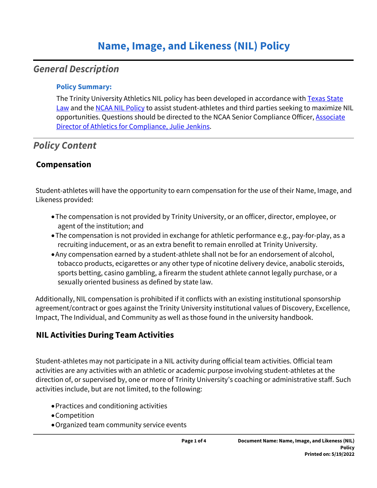# *General Description*

#### **Policy Summary:**

The Trinity University Athletics NIL policy has been developed in accordance with Texas State [Law](https://capitol.texas.gov/tlodocs/87R/billtext/html/SB01385I.htm) and the [NCAA NIL Policy](https://www.ncaa.org/about/taking-action) to assist student-athletes and third parties seeking to maximize NIL opportunities. Questions should be directed to the NCAA Senior Compliance Officer, Associate [Director of Athletics for Compliance, Julie Jenkins.](mailto:jjenkins@trinity.edu)

# *Policy Content*

## **Compensation**

Student-athletes will have the opportunity to earn compensation for the use of their Name, Image, and Likeness provided:

- The compensation is not provided by Trinity University, or an officer, director, employee, or agent of the institution; and
- The compensation is not provided in exchange for athletic performance e.g., pay-for-play, as a recruiting inducement, or as an extra benefit to remain enrolled at Trinity University.
- Any compensation earned by a student-athlete shall not be for an endorsement of alcohol, tobacco products, ecigarettes or any other type of nicotine delivery device, anabolic steroids, sports betting, casino gambling, a firearm the student athlete cannot legally purchase, or a sexually oriented business as defined by state law.

Additionally, NIL compensation is prohibited if it conflicts with an existing institutional sponsorship agreement/contract or goes against the Trinity University institutional values of Discovery, Excellence, Impact, The Individual, and Community as well as those found in the university handbook.

## **NIL Activities During Team Activities**

Student-athletes may not participate in a NIL activity during official team activities. Official team activities are any activities with an athletic or academic purpose involving student-athletes at the direction of, or supervised by, one or more of Trinity University's coaching or administrative staff. Such activities include, but are not limited, to the following:

- Practices and conditioning activities
- Competition
- Organized team community service events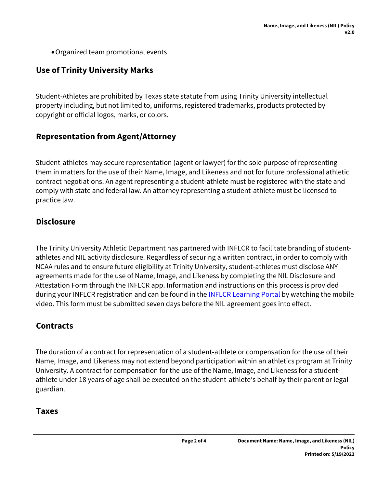Organized team promotional events

## **Use of Trinity University Marks**

Student-Athletes are prohibited by Texas state statute from using Trinity University intellectual property including, but not limited to, uniforms, registered trademarks, products protected by copyright or official logos, marks, or colors.

#### **Representation from Agent/Attorney**

Student-athletes may secure representation (agent or lawyer) for the sole purpose of representing them in matters for the use of their Name, Image, and Likeness and not for future professional athletic contract negotiations. An agent representing a student-athlete must be registered with the state and comply with state and federal law. An attorney representing a student-athlete must be licensed to practice law.

#### **Disclosure**

The Trinity University Athletic Department has partnered with INFLCR to facilitate branding of studentathletes and NIL activity disclosure. Regardless of securing a written contract, in order to comply with NCAA rules and to ensure future eligibility at Trinity University, student-athletes must disclose ANY agreements made for the use of Name, Image, and Likeness by completing the NIL Disclosure and Attestation Form through the INFLCR app. Information and instructions on this process is provided during your INFLCR registration and can be found in the **[INFLCR Learning Portal](https://learn.inflcr.com/)** by watching the mobile video. This form must be submitted seven days before the NIL agreement goes into effect.

## **Contracts**

The duration of a contract for representation of a student-athlete or compensation for the use of their Name, Image, and Likeness may not extend beyond participation within an athletics program at Trinity University. A contract for compensation for the use of the Name, Image, and Likeness for a studentathlete under 18 years of age shall be executed on the student-athlete's behalf by their parent or legal guardian.

#### **Taxes**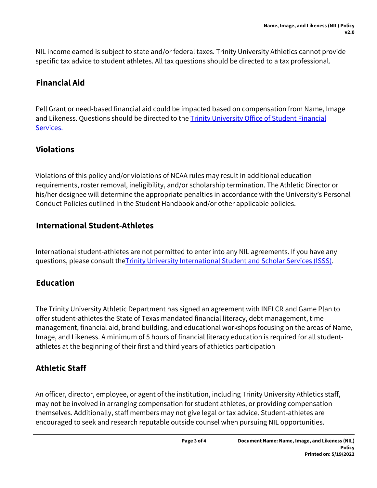NIL income earned is subject to state and/or federal taxes. Trinity University Athletics cannot provide specific tax advice to student athletes. All tax questions should be directed to a tax professional.

## **Financial Aid**

Pell Grant or need-based financial aid could be impacted based on compensation from Name, Image and Likeness. Questions should be directed to the **Trinity University Office of Student Financial** [Services.](https://www.trinity.edu/directory/departments-offices/student-financial-services)

## **Violations**

Violations of this policy and/or violations of NCAA rules may result in additional education requirements, roster removal, ineligibility, and/or scholarship termination. The Athletic Director or his/her designee will determine the appropriate penalties in accordance with the University's Personal Conduct Policies outlined in the Student Handbook and/or other applicable policies.

## **International Student-Athletes**

International student-athletes are not permitted to enter into any NIL agreements. If you have any questions, please consult the **[Trinity University International Student and Scholar Services \(ISSS\)](https://www.trinity.edu/directory/departments-offices/international-student-scholar-services)**.

## **Education**

The Trinity University Athletic Department has signed an agreement with INFLCR and Game Plan to offer student-athletes the State of Texas mandated financial literacy, debt management, time management, financial aid, brand building, and educational workshops focusing on the areas of Name, Image, and Likeness. A minimum of 5 hours of financial literacy education is required for all studentathletes at the beginning of their first and third years of athletics participation

## **Athletic Staff**

An officer, director, employee, or agent of the institution, including Trinity University Athletics staff, may not be involved in arranging compensation for student athletes, or providing compensation themselves. Additionally, staff members may not give legal or tax advice. Student-athletes are encouraged to seek and research reputable outside counsel when pursuing NIL opportunities.